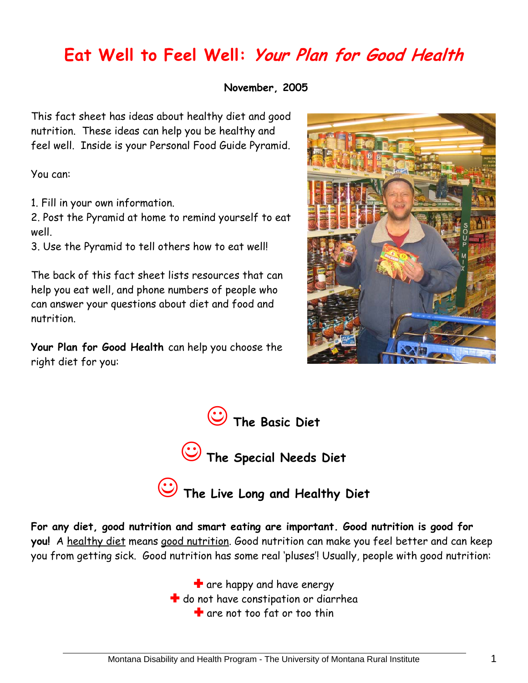## **Eat Well to Feel Well: Your Plan for Good Health**

 **November, 2005** 

This fact sheet has ideas about healthy diet and good nutrition. These ideas can help you be healthy and feel well. Inside is your Personal Food Guide Pyramid.

You can:

1. Fill in your own information.

2. Post the Pyramid at home to remind yourself to eat well.

3. Use the Pyramid to tell others how to eat well!

The back of this fact sheet lists resources that can help you eat well, and phone numbers of people who can answer your questions about diet and food and nutrition.

**Your Plan for Good Health** can help you choose the right diet for you:





( **The Live Long and Healthy Diet** 

**For any diet, good nutrition and smart eating are important. Good nutrition is good for you!** A healthy diet means good nutrition. Good nutrition can make you feel better and can keep you from getting sick. Good nutrition has some real 'pluses'! Usually, people with good nutrition:

> $\blacksquare$  are happy and have energy **t** do not have constipation or diarrhea  $\blacksquare$  are not too fat or too thin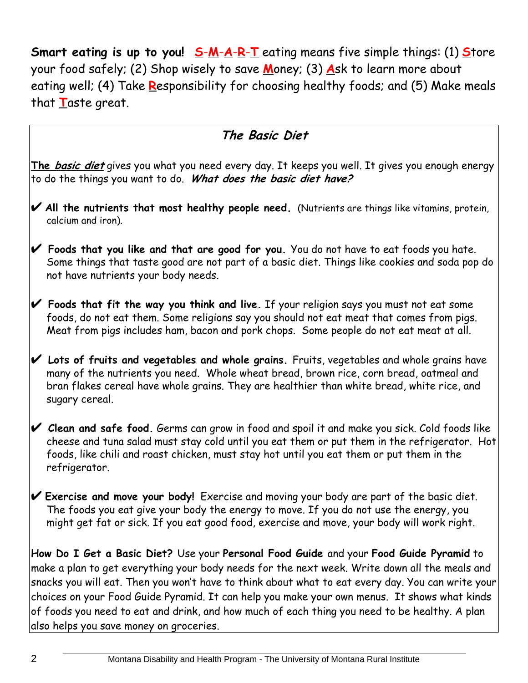**Smart eating is up to you!** S-M-A-R-T eating means five simple things: (1) Store your food safely; (2) Shop wisely to save **M**oney; (3) **A**sk to learn more about eating well; (4) Take **R**esponsibility for choosing healthy foods; and (5) Make meals that **T**aste great.

#### **The Basic Diet**

**The basic diet** gives you what you need every day. It keeps you well. It gives you enough energy to do the things you want to do. **What does the basic diet have?** 

- U **All the nutrients that most healthy people need.** (Nutrients are things like vitamins, protein, calcium and iron).
- U **Foods that you like and that are good for you.** You do not have to eat foods you hate. Some things that taste good are not part of a basic diet. Things like cookies and soda pop do not have nutrients your body needs.
- U **Foods that fit the way you think and live.** If your religion says you must not eat some foods, do not eat them. Some religions say you should not eat meat that comes from pigs. Meat from pigs includes ham, bacon and pork chops. Some people do not eat meat at all.
- $\mathcal V$  Lots of fruits and vegetables and whole grains. Fruits, vegetables and whole grains have many of the nutrients you need. Whole wheat bread, brown rice, corn bread, oatmeal and bran flakes cereal have whole grains. They are healthier than white bread, white rice, and sugary cereal.
- U **Clean and safe food.** Germs can grow in food and spoil it and make you sick. Cold foods like cheese and tuna salad must stay cold until you eat them or put them in the refrigerator. Hot foods, like chili and roast chicken, must stay hot until you eat them or put them in the refrigerator.
- U **Exercise and move your body!** Exercise and moving your body are part of the basic diet. The foods you eat give your body the energy to move. If you do not use the energy, you might get fat or sick. If you eat good food, exercise and move, your body will work right.

**How Do I Get a Basic Diet?** Use your **Personal Food Guide** and your **Food Guide Pyramid** to make a plan to get everything your body needs for the next week. Write down all the meals and snacks you will eat. Then you won't have to think about what to eat every day. You can write your choices on your Food Guide Pyramid. It can help you make your own menus. It shows what kinds of foods you need to eat and drink, and how much of each thing you need to be healthy. A plan also helps you save money on groceries.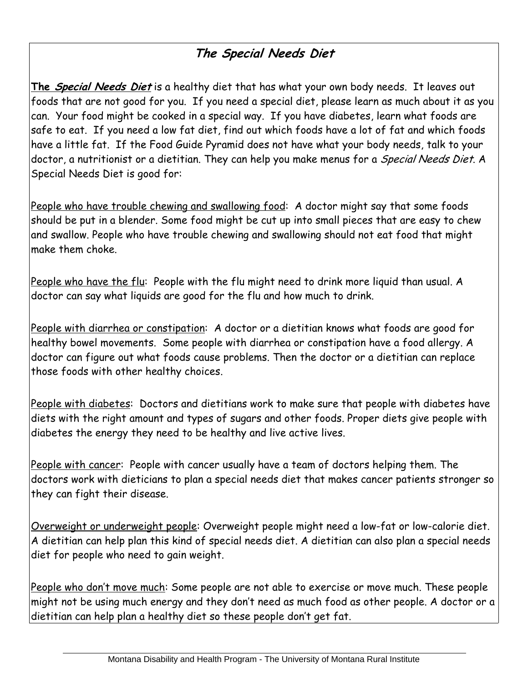### **The Special Needs Diet**

**The Special Needs Diet** is a healthy diet that has what your own body needs. It leaves out foods that are not good for you. If you need a special diet, please learn as much about it as you can. Your food might be cooked in a special way. If you have diabetes, learn what foods are safe to eat. If you need a low fat diet, find out which foods have a lot of fat and which foods have a little fat. If the Food Guide Pyramid does not have what your body needs, talk to your doctor, a nutritionist or a dietitian. They can help you make menus for a *Special Needs Diet*. A Special Needs Diet is good for:

People who have trouble chewing and swallowing food: A doctor might say that some foods should be put in a blender. Some food might be cut up into small pieces that are easy to chew and swallow. People who have trouble chewing and swallowing should not eat food that might make them choke.

People who have the flu: People with the flu might need to drink more liquid than usual. A doctor can say what liquids are good for the flu and how much to drink.

People with diarrhea or constipation: A doctor or a dietitian knows what foods are good for healthy bowel movements. Some people with diarrhea or constipation have a food allergy. A doctor can figure out what foods cause problems. Then the doctor or a dietitian can replace those foods with other healthy choices.

People with diabetes: Doctors and dietitians work to make sure that people with diabetes have diets with the right amount and types of sugars and other foods. Proper diets give people with diabetes the energy they need to be healthy and live active lives.

People with cancer: People with cancer usually have a team of doctors helping them. The doctors work with dieticians to plan a special needs diet that makes cancer patients stronger so they can fight their disease.

Overweight or underweight people: Overweight people might need a low-fat or low-calorie diet. A dietitian can help plan this kind of special needs diet. A dietitian can also plan a special needs diet for people who need to gain weight.

People who don't move much: Some people are not able to exercise or move much. These people might not be using much energy and they don't need as much food as other people. A doctor or a dietitian can help plan a healthy diet so these people don't get fat.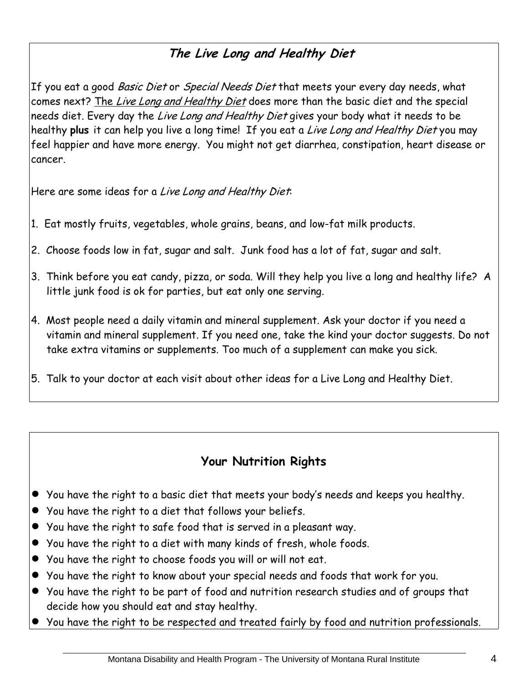#### **The Live Long and Healthy Diet**

If you eat a good Basic Diet or Special Needs Diet that meets your every day needs, what comes next? The Live Long and Healthy Diet does more than the basic diet and the special needs diet. Every day the Live Long and Healthy Diet gives your body what it needs to be healthy **plus** it can help you live a long time! If you eat a Live Long and Healthy Diet you may feel happier and have more energy. You might not get diarrhea, constipation, heart disease or cancer.

Here are some ideas for a Live Long and Healthy Diet:

- 1. Eat mostly fruits, vegetables, whole grains, beans, and low-fat milk products.
- 2. Choose foods low in fat, sugar and salt. Junk food has a lot of fat, sugar and salt.
- 3. Think before you eat candy, pizza, or soda. Will they help you live a long and healthy life? A little junk food is ok for parties, but eat only one serving.
- 4. Most people need a daily vitamin and mineral supplement. Ask your doctor if you need a vitamin and mineral supplement. If you need one, take the kind your doctor suggests. Do not take extra vitamins or supplements. Too much of a supplement can make you sick.
- 5. Talk to your doctor at each visit about other ideas for a Live Long and Healthy Diet.

#### **Your Nutrition Rights**

- You have the right to a basic diet that meets your body's needs and keeps you healthy.
- You have the right to a diet that follows your beliefs.
- You have the right to safe food that is served in a pleasant way.
- You have the right to a diet with many kinds of fresh, whole foods.
- $\bullet$  You have the right to choose foods you will or will not eat.
- You have the right to know about your special needs and foods that work for you.
- You have the right to be part of food and nutrition research studies and of groups that decide how you should eat and stay healthy.
- You have the right to be respected and treated fairly by food and nutrition professionals.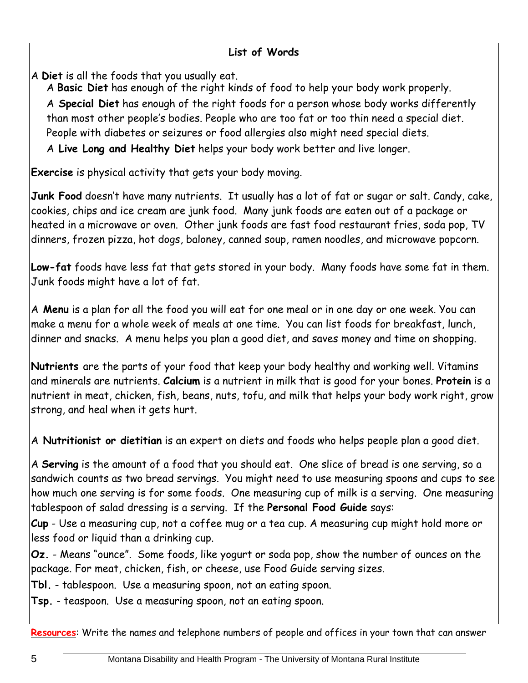A **Diet** is all the foods that you usually eat.

A **Basic Diet** has enough of the right kinds of food to help your body work properly.

A **Special Diet** has enough of the right foods for a person whose body works differently than most other people's bodies. People who are too fat or too thin need a special diet. People with diabetes or seizures or food allergies also might need special diets.

A **Live Long and Healthy Diet** helps your body work better and live longer.

**Exercise** is physical activity that gets your body moving.

**Junk Food** doesn't have many nutrients. It usually has a lot of fat or sugar or salt. Candy, cake, cookies, chips and ice cream are junk food. Many junk foods are eaten out of a package or heated in a microwave or oven. Other junk foods are fast food restaurant fries, soda pop, TV dinners, frozen pizza, hot dogs, baloney, canned soup, ramen noodles, and microwave popcorn.

**Low-fat** foods have less fat that gets stored in your body. Many foods have some fat in them. Junk foods might have a lot of fat.

A **Menu** is a plan for all the food you will eat for one meal or in one day or one week. You can make a menu for a whole week of meals at one time. You can list foods for breakfast, lunch, dinner and snacks. A menu helps you plan a good diet, and saves money and time on shopping.

**Nutrients** are the parts of your food that keep your body healthy and working well. Vitamins and minerals are nutrients. **Calcium** is a nutrient in milk that is good for your bones. **Protein** is a nutrient in meat, chicken, fish, beans, nuts, tofu, and milk that helps your body work right, grow strong, and heal when it gets hurt.

A **Nutritionist or dietitian** is an expert on diets and foods who helps people plan a good diet.

A **Serving** is the amount of a food that you should eat. One slice of bread is one serving, so a sandwich counts as two bread servings. You might need to use measuring spoons and cups to see how much one serving is for some foods. One measuring cup of milk is a serving. One measuring tablespoon of salad dressing is a serving. If the **Personal Food Guide** says:

**Cup** - Use a measuring cup, not a coffee mug or a tea cup. A measuring cup might hold more or less food or liquid than a drinking cup.

**Oz.** - Means "ounce". Some foods, like yogurt or soda pop, show the number of ounces on the package. For meat, chicken, fish, or cheese, use Food Guide serving sizes.

**Tbl.** - tablespoon. Use a measuring spoon, not an eating spoon.

**Tsp.** - teaspoon. Use a measuring spoon, not an eating spoon.

**Resources**: Write the names and telephone numbers of people and offices in your town that can answer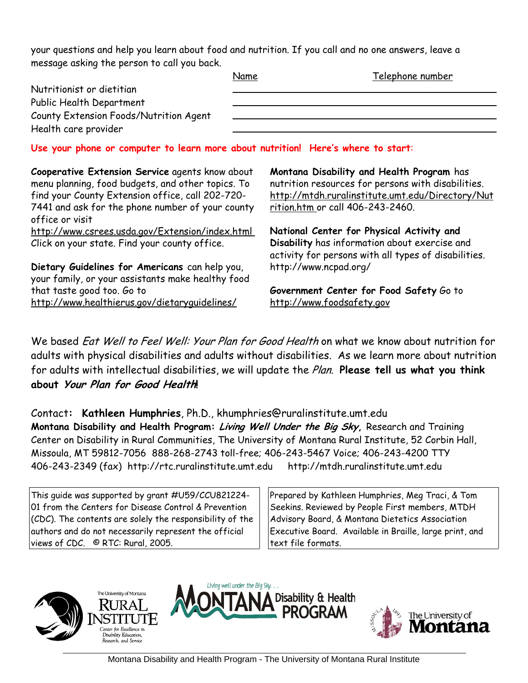your questions and help you learn about food and nutrition. If you call and no one answers, leave a message asking the person to call you back.

|                                                                                  | Name | Telephone number |
|----------------------------------------------------------------------------------|------|------------------|
| Nutritionist or dietitian                                                        |      |                  |
| Public Health Department                                                         |      |                  |
| County Extension Foods/Nutrition Agent                                           |      |                  |
| Health care provider                                                             |      |                  |
| Use your phone or computer to learn more about nutrition! Here's where to start: |      |                  |

**Cooperative Extension Service** agents know about menu planning, food budgets, and other topics. To find your County Extension office, call 202-720- 7441 and ask for the phone number of your county office or visit http://www.csrees.usda.gov/Extension/index.html Click on your state. Find your county office.

**Dietary Guidelines for Americans** can help you, your family, or your assistants make healthy food that taste good too. Go to http://www.healthierus.gov/dietaryguidelines/

**Montana Disability and Health Program** has nutrition resources for persons with disabilities. http://mtdh.ruralinstitute.umt.edu/Directory/Nut rition.htm or call 406-243-2460.

**National Center for Physical Activity and Disability** has information about exercise and activity for persons with all types of disabilities. http://www.ncpad.org/

**Government Center for Food Safety** Go to http://www.foodsafety.gov

We based *Eat Well to Feel Well: Your Plan for Good Health* on what we know about nutrition for adults with physical disabilities and adults without disabilities. As we learn more about nutrition for adults with intellectual disabilities, we will update the Plan. **Please tell us what you think about Your Plan for Good Health!** 

Contact**: Kathleen Humphries**, Ph.D., khumphries@ruralinstitute.umt.edu **Montana Disability and Health Program: Living Well Under the Big Sky,** Research and Training Center on Disability in Rural Communities, The University of Montana Rural Institute, 52 Corbin Hall, Missoula, MT 59812-7056 888-268-2743 toll-free; 406-243-5467 Voice; 406-243-4200 TTY 406-243-2349 (fax) http://rtc.ruralinstitute.umt.edu http://mtdh.ruralinstitute.umt.edu

This guide was supported by grant #U59/CCU821224- 01 from the Centers for Disease Control & Prevention (CDC). The contents are solely the responsibility of the authors and do not necessarily represent the official views of CDC. © RTC: Rural, 2005.

Prepared by Kathleen Humphries, Meg Traci, & Tom Seekins. Reviewed by People First members, MTDH Advisory Board, & Montana Dietetics Association Executive Board. Available in Braille, large print, and text file formats.





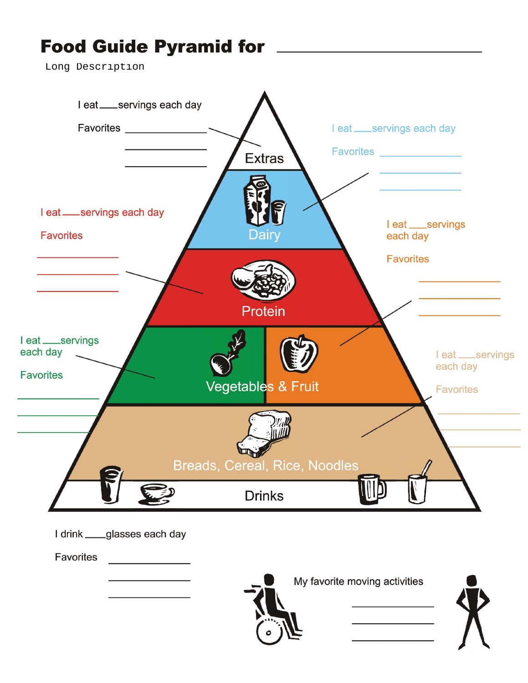# **Food Guide Pyramid for**

[Long Description](http://mtdh.ruralinstitute.umt.edu/?page_id=1900)



<u> 1980 - Johann Barbara, martin a</u>